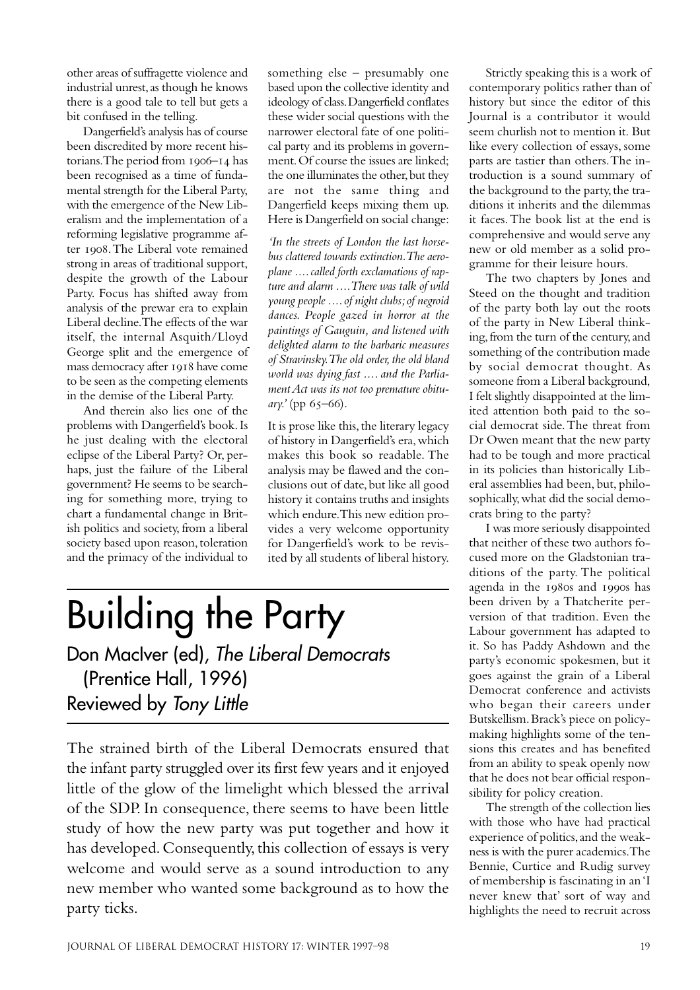other areas of suffragette violence and industrial unrest, as though he knows there is a good tale to tell but gets a bit confused in the telling.

Dangerfield's analysis has of course been discredited by more recent historians. The period from  $1906 - 14$  has been recognised as a time of fundamental strength for the Liberal Party, with the emergence of the New Liberalism and the implementation of a reforming legislative programme after 1908. The Liberal vote remained strong in areas of traditional support, despite the growth of the Labour Party. Focus has shifted away from analysis of the prewar era to explain Liberal decline. The effects of the war itself, the internal Asquith/Lloyd George split and the emergence of mass democracy after 1918 have come to be seen as the competing elements in the demise of the Liberal Party.

And therein also lies one of the problems with Dangerfield's book. Is he just dealing with the electoral eclipse of the Liberal Party? Or, perhaps, just the failure of the Liberal government? He seems to be searching for something more, trying to chart a fundamental change in British politics and society, from a liberal society based upon reason, toleration and the primacy of the individual to something else – presumably one based upon the collective identity and ideology of class. Dangerfield conflates these wider social questions with the narrower electoral fate of one political party and its problems in government. Of course the issues are linked; the one illuminates the other, but they are not the same thing and Dangerfield keeps mixing them up. Here is Dangerfield on social change:

*'In the streets of London the last horsebus clattered towards extinction. The aeroplane .... called forth exclamations of rapture and alarm .... There was talk of wild young people .... of night clubs; of negroid dances. People gazed in horror at the paintings of Gauguin, and listened with delighted alarm to the barbaric measures of Stravinsky. The old order, the old bland world was dying fast .... and the Parliament Act was its not too premature obituary.'* (pp 65-66).

It is prose like this, the literary legacy of history in Dangerfield's era, which makes this book so readable. The analysis may be flawed and the conclusions out of date, but like all good history it contains truths and insights which endure. This new edition provides a very welcome opportunity for Dangerfield's work to be revisited by all students of liberal history.

## Building the Party Don MacIver (ed), The Liberal Democrats

(Prentice Hall, 1996) Reviewed by Tony Little

The strained birth of the Liberal Democrats ensured that the infant party struggled over its first few years and it enjoyed little of the glow of the limelight which blessed the arrival of the SDP. In consequence, there seems to have been little study of how the new party was put together and how it has developed. Consequently, this collection of essays is very welcome and would serve as a sound introduction to any new member who wanted some background as to how the party ticks.

Strictly speaking this is a work of contemporary politics rather than of history but since the editor of this Journal is a contributor it would seem churlish not to mention it. But like every collection of essays, some parts are tastier than others. The introduction is a sound summary of the background to the party, the traditions it inherits and the dilemmas it faces. The book list at the end is comprehensive and would serve any new or old member as a solid programme for their leisure hours.

The two chapters by Jones and Steed on the thought and tradition of the party both lay out the roots of the party in New Liberal thinking, from the turn of the century, and something of the contribution made by social democrat thought. As someone from a Liberal background, I felt slightly disappointed at the limited attention both paid to the social democrat side. The threat from Dr Owen meant that the new party had to be tough and more practical in its policies than historically Liberal assemblies had been, but, philosophically, what did the social democrats bring to the party?

I was more seriously disappointed that neither of these two authors focused more on the Gladstonian traditions of the party. The political agenda in the 1980s and 1990s has been driven by a Thatcherite perversion of that tradition. Even the Labour government has adapted to it. So has Paddy Ashdown and the party's economic spokesmen, but it goes against the grain of a Liberal Democrat conference and activists who began their careers under Butskellism. Brack's piece on policymaking highlights some of the tensions this creates and has benefited from an ability to speak openly now that he does not bear official responsibility for policy creation.

The strength of the collection lies with those who have had practical experience of politics, and the weakness is with the purer academics. The Bennie, Curtice and Rudig survey of membership is fascinating in an 'I never knew that' sort of way and highlights the need to recruit across